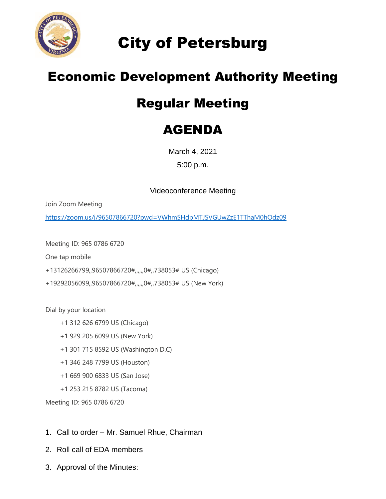

City of Petersburg

## Economic Development Authority Meeting

## Regular Meeting

## AGENDA

March 4, 2021

5:00 p.m.

Videoconference Meeting

Join Zoom Meeting

<https://zoom.us/j/96507866720?pwd=VWhmSHdpMTJSVGUwZzE1TThaM0hOdz09>

Meeting ID: 965 0786 6720

One tap mobile

+13126266799,,96507866720#,,,,,,0#,,738053# US (Chicago)

+19292056099,,96507866720#,,,,,,0#,,738053# US (New York)

Dial by your location

- +1 312 626 6799 US (Chicago)
- +1 929 205 6099 US (New York)
- +1 301 715 8592 US (Washington D.C)
- +1 346 248 7799 US (Houston)
- +1 669 900 6833 US (San Jose)
- +1 253 215 8782 US (Tacoma)

Meeting ID: 965 0786 6720

- 1. Call to order Mr. Samuel Rhue, Chairman
- 2. Roll call of EDA members
- 3. Approval of the Minutes: